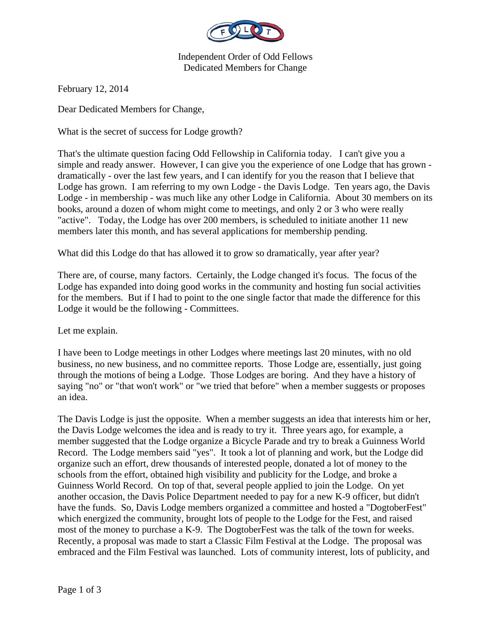

Independent Order of Odd Fellows Dedicated Members for Change

February 12, 2014

Dear Dedicated Members for Change,

What is the secret of success for Lodge growth?

That's the ultimate question facing Odd Fellowship in California today. I can't give you a simple and ready answer. However, I can give you the experience of one Lodge that has grown dramatically - over the last few years, and I can identify for you the reason that I believe that Lodge has grown. I am referring to my own Lodge - the Davis Lodge. Ten years ago, the Davis Lodge - in membership - was much like any other Lodge in California. About 30 members on its books, around a dozen of whom might come to meetings, and only 2 or 3 who were really "active". Today, the Lodge has over 200 members, is scheduled to initiate another 11 new members later this month, and has several applications for membership pending.

What did this Lodge do that has allowed it to grow so dramatically, year after year?

There are, of course, many factors. Certainly, the Lodge changed it's focus. The focus of the Lodge has expanded into doing good works in the community and hosting fun social activities for the members. But if I had to point to the one single factor that made the difference for this Lodge it would be the following - Committees.

Let me explain.

I have been to Lodge meetings in other Lodges where meetings last 20 minutes, with no old business, no new business, and no committee reports. Those Lodge are, essentially, just going through the motions of being a Lodge. Those Lodges are boring. And they have a history of saying "no" or "that won't work" or "we tried that before" when a member suggests or proposes an idea.

The Davis Lodge is just the opposite. When a member suggests an idea that interests him or her, the Davis Lodge welcomes the idea and is ready to try it. Three years ago, for example, a member suggested that the Lodge organize a Bicycle Parade and try to break a Guinness World Record. The Lodge members said "yes". It took a lot of planning and work, but the Lodge did organize such an effort, drew thousands of interested people, donated a lot of money to the schools from the effort, obtained high visibility and publicity for the Lodge, and broke a Guinness World Record. On top of that, several people applied to join the Lodge. On yet another occasion, the Davis Police Department needed to pay for a new K-9 officer, but didn't have the funds. So, Davis Lodge members organized a committee and hosted a "DogtoberFest" which energized the community, brought lots of people to the Lodge for the Fest, and raised most of the money to purchase a K-9. The DogtoberFest was the talk of the town for weeks. Recently, a proposal was made to start a Classic Film Festival at the Lodge. The proposal was embraced and the Film Festival was launched. Lots of community interest, lots of publicity, and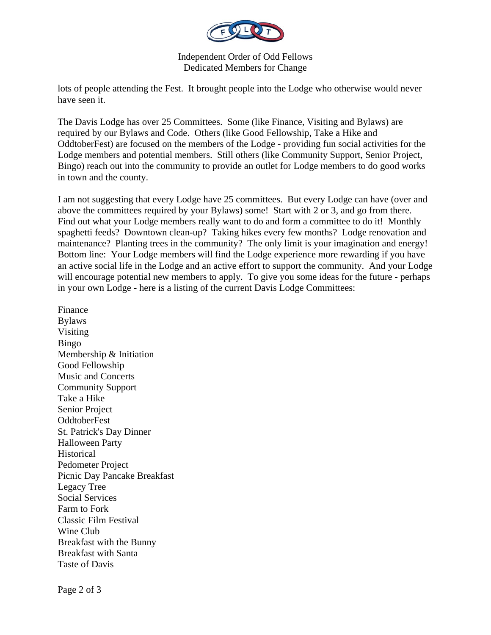

Independent Order of Odd Fellows Dedicated Members for Change

lots of people attending the Fest. It brought people into the Lodge who otherwise would never have seen it.

The Davis Lodge has over 25 Committees. Some (like Finance, Visiting and Bylaws) are required by our Bylaws and Code. Others (like Good Fellowship, Take a Hike and OddtoberFest) are focused on the members of the Lodge - providing fun social activities for the Lodge members and potential members. Still others (like Community Support, Senior Project, Bingo) reach out into the community to provide an outlet for Lodge members to do good works in town and the county.

I am not suggesting that every Lodge have 25 committees. But every Lodge can have (over and above the committees required by your Bylaws) some! Start with 2 or 3, and go from there. Find out what your Lodge members really want to do and form a committee to do it! Monthly spaghetti feeds? Downtown clean-up? Taking hikes every few months? Lodge renovation and maintenance? Planting trees in the community? The only limit is your imagination and energy! Bottom line: Your Lodge members will find the Lodge experience more rewarding if you have an active social life in the Lodge and an active effort to support the community. And your Lodge will encourage potential new members to apply. To give you some ideas for the future - perhaps in your own Lodge - here is a listing of the current Davis Lodge Committees:

Finance Bylaws Visiting Bingo Membership & Initiation Good Fellowship Music and Concerts Community Support Take a Hike Senior Project OddtoberFest St. Patrick's Day Dinner Halloween Party Historical Pedometer Project Picnic Day Pancake Breakfast Legacy Tree Social Services Farm to Fork Classic Film Festival Wine Club Breakfast with the Bunny Breakfast with Santa Taste of Davis